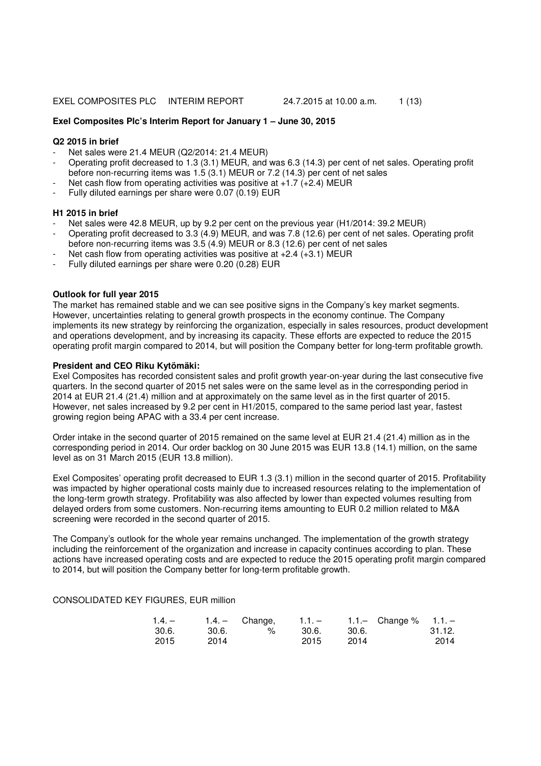#### **Exel Composites Plc's Interim Report for January 1 – June 30, 2015**

#### **Q2 2015 in brief**

- Net sales were 21.4 MEUR (Q2/2014: 21.4 MEUR)
- Operating profit decreased to 1.3 (3.1) MEUR, and was 6.3 (14.3) per cent of net sales. Operating profit before non-recurring items was 1.5 (3.1) MEUR or 7.2 (14.3) per cent of net sales
- Net cash flow from operating activities was positive at  $+1.7$  ( $+2.4$ ) MEUR
- Fully diluted earnings per share were 0.07 (0.19) EUR

#### **H1 2015 in brief**

- Net sales were 42.8 MEUR, up by 9.2 per cent on the previous year (H1/2014: 39.2 MEUR)
- Operating profit decreased to 3.3 (4.9) MEUR, and was 7.8 (12.6) per cent of net sales. Operating profit before non-recurring items was 3.5 (4.9) MEUR or 8.3 (12.6) per cent of net sales
- Net cash flow from operating activities was positive at  $+2.4$  ( $+3.1$ ) MEUR
- Fully diluted earnings per share were 0.20 (0.28) EUR

## **Outlook for full year 2015**

The market has remained stable and we can see positive signs in the Company's key market segments. However, uncertainties relating to general growth prospects in the economy continue. The Company implements its new strategy by reinforcing the organization, especially in sales resources, product development and operations development, and by increasing its capacity. These efforts are expected to reduce the 2015 operating profit margin compared to 2014, but will position the Company better for long-term profitable growth.

#### **President and CEO Riku Kytömäki:**

Exel Composites has recorded consistent sales and profit growth year-on-year during the last consecutive five quarters. In the second quarter of 2015 net sales were on the same level as in the corresponding period in 2014 at EUR 21.4 (21.4) million and at approximately on the same level as in the first quarter of 2015. However, net sales increased by 9.2 per cent in H1/2015, compared to the same period last year, fastest growing region being APAC with a 33.4 per cent increase.

Order intake in the second quarter of 2015 remained on the same level at EUR 21.4 (21.4) million as in the corresponding period in 2014. Our order backlog on 30 June 2015 was EUR 13.8 (14.1) million, on the same level as on 31 March 2015 (EUR 13.8 million).

Exel Composites' operating profit decreased to EUR 1.3 (3.1) million in the second quarter of 2015. Profitability was impacted by higher operational costs mainly due to increased resources relating to the implementation of the long-term growth strategy. Profitability was also affected by lower than expected volumes resulting from delayed orders from some customers. Non-recurring items amounting to EUR 0.2 million related to M&A screening were recorded in the second quarter of 2015.

The Company's outlook for the whole year remains unchanged. The implementation of the growth strategy including the reinforcement of the organization and increase in capacity continues according to plan. These actions have increased operating costs and are expected to reduce the 2015 operating profit margin compared to 2014, but will position the Company better for long-term profitable growth.

CONSOLIDATED KEY FIGURES, EUR million

| $1.4. -$ |       | $1.4 -$ Change, | $1.1 = 1$ |        | 1.1. Change $% 1.1. -$ |        |
|----------|-------|-----------------|-----------|--------|------------------------|--------|
| 30.6.    | 30.6. | %               | 30.6.     | -30.6. |                        | 31.12. |
| 2015     | 2014  |                 | 2015      | 2014   |                        | 2014   |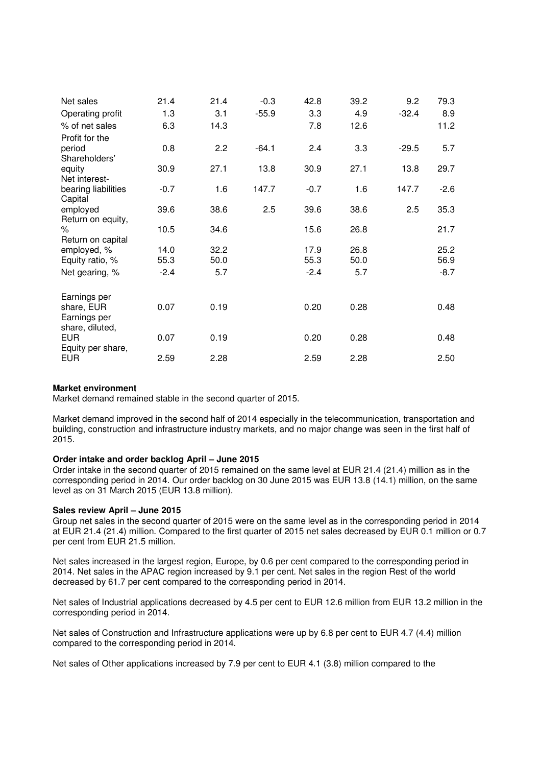| Net sales                                     | 21.4   | 21.4 | $-0.3$  | 42.8   | 39.2 | 9.2     | 79.3   |
|-----------------------------------------------|--------|------|---------|--------|------|---------|--------|
| Operating profit                              | 1.3    | 3.1  | $-55.9$ | 3.3    | 4.9  | $-32.4$ | 8.9    |
| % of net sales                                | 6.3    | 14.3 |         | 7.8    | 12.6 |         | 11.2   |
| Profit for the                                |        |      |         |        |      |         |        |
| period<br>Shareholders'                       | 0.8    | 2.2  | $-64.1$ | 2.4    | 3.3  | $-29.5$ | 5.7    |
| equity<br>Net interest-                       | 30.9   | 27.1 | 13.8    | 30.9   | 27.1 | 13.8    | 29.7   |
| bearing liabilities<br>Capital                | $-0.7$ | 1.6  | 147.7   | $-0.7$ | 1.6  | 147.7   | $-2.6$ |
| employed<br>Return on equity,                 | 39.6   | 38.6 | 2.5     | 39.6   | 38.6 | 2.5     | 35.3   |
| ℅<br>Return on capital                        | 10.5   | 34.6 |         | 15.6   | 26.8 |         | 21.7   |
| employed, %                                   | 14.0   | 32.2 |         | 17.9   | 26.8 |         | 25.2   |
| Equity ratio, %                               | 55.3   | 50.0 |         | 55.3   | 50.0 |         | 56.9   |
| Net gearing, %                                | $-2.4$ | 5.7  |         | $-2.4$ | 5.7  |         | $-8.7$ |
| Earnings per                                  |        |      |         |        |      |         |        |
| share, EUR<br>Earnings per<br>share, diluted, | 0.07   | 0.19 |         | 0.20   | 0.28 |         | 0.48   |
| <b>EUR</b><br>Equity per share,               | 0.07   | 0.19 |         | 0.20   | 0.28 |         | 0.48   |
| <b>EUR</b>                                    | 2.59   | 2.28 |         | 2.59   | 2.28 |         | 2.50   |

## **Market environment**

Market demand remained stable in the second quarter of 2015.

Market demand improved in the second half of 2014 especially in the telecommunication, transportation and building, construction and infrastructure industry markets, and no major change was seen in the first half of 2015.

## **Order intake and order backlog April – June 2015**

Order intake in the second quarter of 2015 remained on the same level at EUR 21.4 (21.4) million as in the corresponding period in 2014. Our order backlog on 30 June 2015 was EUR 13.8 (14.1) million, on the same level as on 31 March 2015 (EUR 13.8 million).

## **Sales review April – June 2015**

Group net sales in the second quarter of 2015 were on the same level as in the corresponding period in 2014 at EUR 21.4 (21.4) million. Compared to the first quarter of 2015 net sales decreased by EUR 0.1 million or 0.7 per cent from EUR 21.5 million.

Net sales increased in the largest region, Europe, by 0.6 per cent compared to the corresponding period in 2014. Net sales in the APAC region increased by 9.1 per cent. Net sales in the region Rest of the world decreased by 61.7 per cent compared to the corresponding period in 2014.

Net sales of Industrial applications decreased by 4.5 per cent to EUR 12.6 million from EUR 13.2 million in the corresponding period in 2014.

Net sales of Construction and Infrastructure applications were up by 6.8 per cent to EUR 4.7 (4.4) million compared to the corresponding period in 2014.

Net sales of Other applications increased by 7.9 per cent to EUR 4.1 (3.8) million compared to the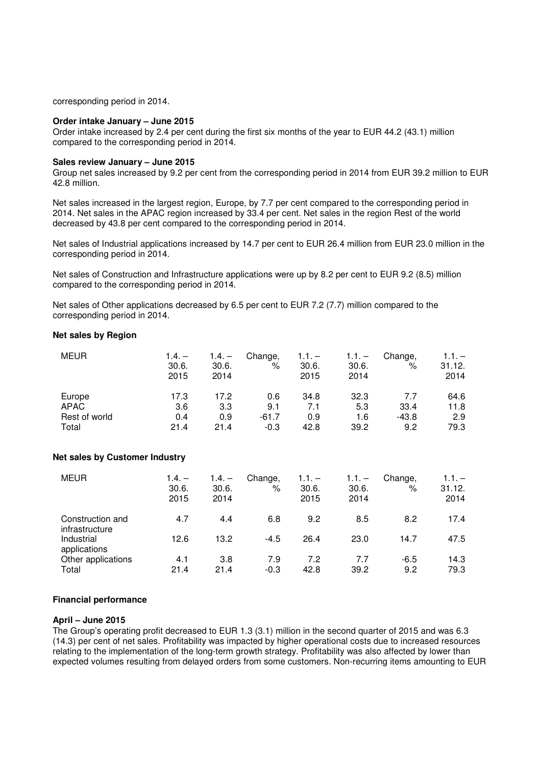corresponding period in 2014.

#### **Order intake January – June 2015**

Order intake increased by 2.4 per cent during the first six months of the year to EUR 44.2 (43.1) million compared to the corresponding period in 2014.

## **Sales review January – June 2015**

Group net sales increased by 9.2 per cent from the corresponding period in 2014 from EUR 39.2 million to EUR 42.8 million.

Net sales increased in the largest region, Europe, by 7.7 per cent compared to the corresponding period in 2014. Net sales in the APAC region increased by 33.4 per cent. Net sales in the region Rest of the world decreased by 43.8 per cent compared to the corresponding period in 2014.

Net sales of Industrial applications increased by 14.7 per cent to EUR 26.4 million from EUR 23.0 million in the corresponding period in 2014.

Net sales of Construction and Infrastructure applications were up by 8.2 per cent to EUR 9.2 (8.5) million compared to the corresponding period in 2014.

Net sales of Other applications decreased by 6.5 per cent to EUR 7.2 (7.7) million compared to the corresponding period in 2014.

### **Net sales by Region**

| <b>MEUR</b>   | $1.4. -$<br>30.6.<br>2015 | $1.4. -$<br>30.6.<br>2014 | Change,<br>$\%$ | $1.1. -$<br>30.6.<br>2015 | $1.1 -$<br>30.6.<br>2014 | Change,<br>% | $1.1 -$<br>31.12.<br>2014 |
|---------------|---------------------------|---------------------------|-----------------|---------------------------|--------------------------|--------------|---------------------------|
| Europe        | 17.3                      | 17.2                      | 0.6             | 34.8                      | 32.3                     | 7.7          | 64.6                      |
| APAC          | 3.6                       | 3.3                       | 9.1             | 7.1                       | 5.3                      | 33.4         | 11.8                      |
| Rest of world | 0.4                       | 0.9                       | -61.7           | 0.9                       | 1.6                      | $-43.8$      | 2.9                       |
| Total         | 21.4                      | 21.4                      | $-0.3$          | 42.8                      | 39.2                     | 9.2          | 79.3                      |

## **Net sales by Customer Industry**

| <b>MEUR</b>                        | $1.4. -$<br>30.6.<br>2015 | $1.4. -$<br>30.6.<br>2014 | Change,<br>%  | $1.1. -$<br>30.6.<br>2015 | $1.1. -$<br>30.6.<br>2014 | Change,<br>% | $1.1 -$<br>31.12.<br>2014 |
|------------------------------------|---------------------------|---------------------------|---------------|---------------------------|---------------------------|--------------|---------------------------|
| Construction and<br>infrastructure | 4.7                       | 4.4                       | 6.8           | 9.2                       | 8.5                       | 8.2          | 17.4                      |
| Industrial<br>applications         | 12.6                      | 13.2                      | $-4.5$        | 26.4                      | 23.0                      | 14.7         | 47.5                      |
| Other applications<br>Total        | 4.1<br>21.4               | 3.8<br>21.4               | 7.9<br>$-0.3$ | 7.2<br>42.8               | 7.7<br>39.2               | -6.5<br>9.2  | 14.3<br>79.3              |

## **Financial performance**

#### **April – June 2015**

The Group's operating profit decreased to EUR 1.3 (3.1) million in the second quarter of 2015 and was 6.3 (14.3) per cent of net sales. Profitability was impacted by higher operational costs due to increased resources relating to the implementation of the long-term growth strategy. Profitability was also affected by lower than expected volumes resulting from delayed orders from some customers. Non-recurring items amounting to EUR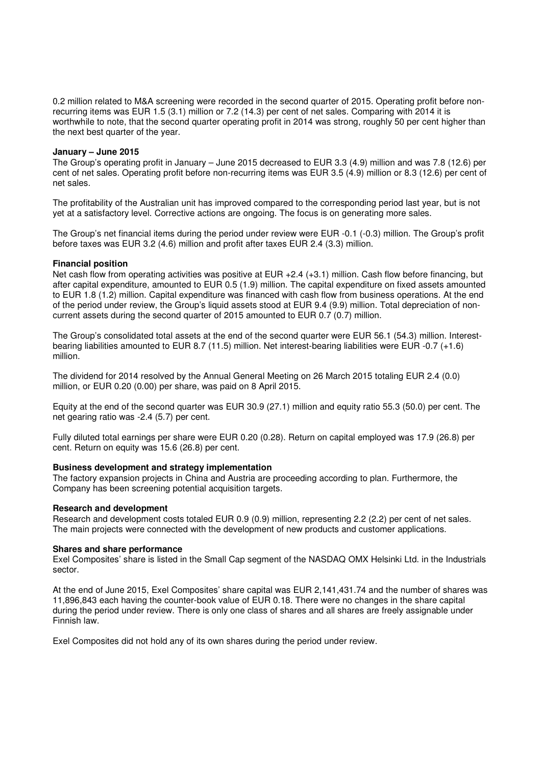0.2 million related to M&A screening were recorded in the second quarter of 2015. Operating profit before nonrecurring items was EUR 1.5 (3.1) million or 7.2 (14.3) per cent of net sales. Comparing with 2014 it is worthwhile to note, that the second quarter operating profit in 2014 was strong, roughly 50 per cent higher than the next best quarter of the year.

### **January – June 2015**

The Group's operating profit in January – June 2015 decreased to EUR 3.3 (4.9) million and was 7.8 (12.6) per cent of net sales. Operating profit before non-recurring items was EUR 3.5 (4.9) million or 8.3 (12.6) per cent of net sales.

The profitability of the Australian unit has improved compared to the corresponding period last year, but is not yet at a satisfactory level. Corrective actions are ongoing. The focus is on generating more sales.

The Group's net financial items during the period under review were EUR -0.1 (-0.3) million. The Group's profit before taxes was EUR 3.2 (4.6) million and profit after taxes EUR 2.4 (3.3) million.

#### **Financial position**

Net cash flow from operating activities was positive at EUR +2.4 (+3.1) million. Cash flow before financing, but after capital expenditure, amounted to EUR 0.5 (1.9) million. The capital expenditure on fixed assets amounted to EUR 1.8 (1.2) million. Capital expenditure was financed with cash flow from business operations. At the end of the period under review, the Group's liquid assets stood at EUR 9.4 (9.9) million. Total depreciation of noncurrent assets during the second quarter of 2015 amounted to EUR 0.7 (0.7) million.

The Group's consolidated total assets at the end of the second quarter were EUR 56.1 (54.3) million. Interestbearing liabilities amounted to EUR 8.7 (11.5) million. Net interest-bearing liabilities were EUR -0.7 (+1.6) million.

The dividend for 2014 resolved by the Annual General Meeting on 26 March 2015 totaling EUR 2.4 (0.0) million, or EUR 0.20 (0.00) per share, was paid on 8 April 2015.

Equity at the end of the second quarter was EUR 30.9 (27.1) million and equity ratio 55.3 (50.0) per cent. The net gearing ratio was -2.4 (5.7) per cent.

Fully diluted total earnings per share were EUR 0.20 (0.28). Return on capital employed was 17.9 (26.8) per cent. Return on equity was 15.6 (26.8) per cent.

#### **Business development and strategy implementation**

The factory expansion projects in China and Austria are proceeding according to plan. Furthermore, the Company has been screening potential acquisition targets.

### **Research and development**

Research and development costs totaled EUR 0.9 (0.9) million, representing 2.2 (2.2) per cent of net sales. The main projects were connected with the development of new products and customer applications.

#### **Shares and share performance**

Exel Composites' share is listed in the Small Cap segment of the NASDAQ OMX Helsinki Ltd. in the Industrials sector.

At the end of June 2015, Exel Composites' share capital was EUR 2,141,431.74 and the number of shares was 11,896,843 each having the counter-book value of EUR 0.18. There were no changes in the share capital during the period under review. There is only one class of shares and all shares are freely assignable under Finnish law.

Exel Composites did not hold any of its own shares during the period under review.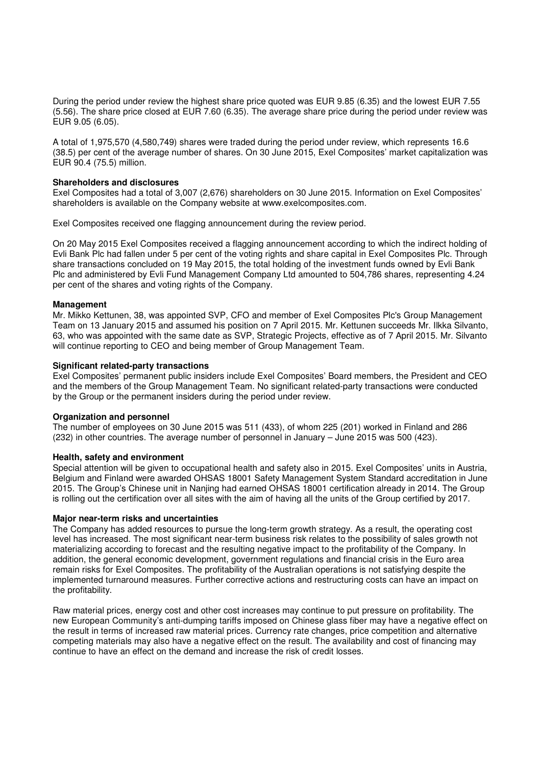During the period under review the highest share price quoted was EUR 9.85 (6.35) and the lowest EUR 7.55 (5.56). The share price closed at EUR 7.60 (6.35). The average share price during the period under review was EUR 9.05 (6.05).

A total of 1,975,570 (4,580,749) shares were traded during the period under review, which represents 16.6 (38.5) per cent of the average number of shares. On 30 June 2015, Exel Composites' market capitalization was EUR 90.4 (75.5) million.

#### **Shareholders and disclosures**

Exel Composites had a total of 3,007 (2,676) shareholders on 30 June 2015. Information on Exel Composites' shareholders is available on the Company website at www.exelcomposites.com.

Exel Composites received one flagging announcement during the review period.

On 20 May 2015 Exel Composites received a flagging announcement according to which the indirect holding of Evli Bank Plc had fallen under 5 per cent of the voting rights and share capital in Exel Composites Plc. Through share transactions concluded on 19 May 2015, the total holding of the investment funds owned by Evli Bank Plc and administered by Evli Fund Management Company Ltd amounted to 504,786 shares, representing 4.24 per cent of the shares and voting rights of the Company.

#### **Management**

Mr. Mikko Kettunen, 38, was appointed SVP, CFO and member of Exel Composites Plc's Group Management Team on 13 January 2015 and assumed his position on 7 April 2015. Mr. Kettunen succeeds Mr. Ilkka Silvanto, 63, who was appointed with the same date as SVP, Strategic Projects, effective as of 7 April 2015. Mr. Silvanto will continue reporting to CEO and being member of Group Management Team.

#### **Significant related-party transactions**

Exel Composites' permanent public insiders include Exel Composites' Board members, the President and CEO and the members of the Group Management Team. No significant related-party transactions were conducted by the Group or the permanent insiders during the period under review.

#### **Organization and personnel**

The number of employees on 30 June 2015 was 511 (433), of whom 225 (201) worked in Finland and 286 (232) in other countries. The average number of personnel in January – June 2015 was 500 (423).

## **Health, safety and environment**

Special attention will be given to occupational health and safety also in 2015. Exel Composites' units in Austria, Belgium and Finland were awarded OHSAS 18001 Safety Management System Standard accreditation in June 2015. The Group's Chinese unit in Nanjing had earned OHSAS 18001 certification already in 2014. The Group is rolling out the certification over all sites with the aim of having all the units of the Group certified by 2017.

#### **Major near-term risks and uncertainties**

The Company has added resources to pursue the long-term growth strategy. As a result, the operating cost level has increased. The most significant near-term business risk relates to the possibility of sales growth not materializing according to forecast and the resulting negative impact to the profitability of the Company. In addition, the general economic development, government regulations and financial crisis in the Euro area remain risks for Exel Composites. The profitability of the Australian operations is not satisfying despite the implemented turnaround measures. Further corrective actions and restructuring costs can have an impact on the profitability.

Raw material prices, energy cost and other cost increases may continue to put pressure on profitability. The new European Community's anti-dumping tariffs imposed on Chinese glass fiber may have a negative effect on the result in terms of increased raw material prices. Currency rate changes, price competition and alternative competing materials may also have a negative effect on the result. The availability and cost of financing may continue to have an effect on the demand and increase the risk of credit losses.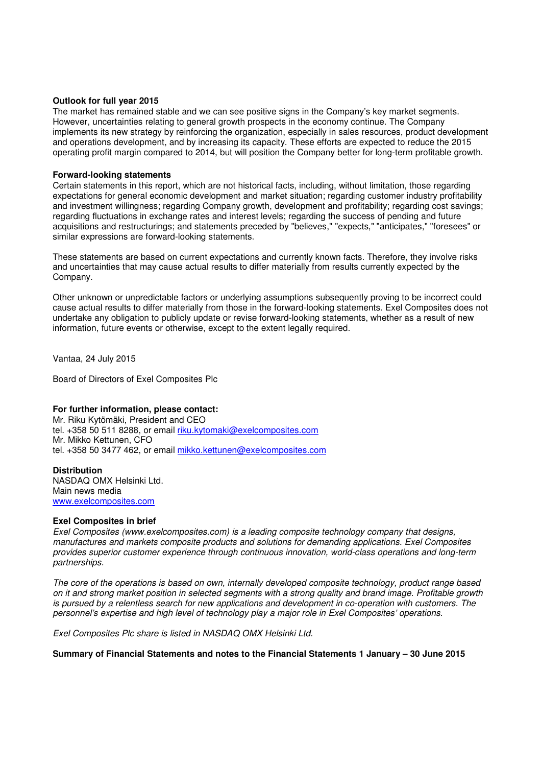#### **Outlook for full year 2015**

The market has remained stable and we can see positive signs in the Company's key market segments. However, uncertainties relating to general growth prospects in the economy continue. The Company implements its new strategy by reinforcing the organization, especially in sales resources, product development and operations development, and by increasing its capacity. These efforts are expected to reduce the 2015 operating profit margin compared to 2014, but will position the Company better for long-term profitable growth.

### **Forward-looking statements**

Certain statements in this report, which are not historical facts, including, without limitation, those regarding expectations for general economic development and market situation; regarding customer industry profitability and investment willingness; regarding Company growth, development and profitability; regarding cost savings; regarding fluctuations in exchange rates and interest levels; regarding the success of pending and future acquisitions and restructurings; and statements preceded by "believes," "expects," "anticipates," "foresees" or similar expressions are forward-looking statements.

These statements are based on current expectations and currently known facts. Therefore, they involve risks and uncertainties that may cause actual results to differ materially from results currently expected by the Company.

Other unknown or unpredictable factors or underlying assumptions subsequently proving to be incorrect could cause actual results to differ materially from those in the forward-looking statements. Exel Composites does not undertake any obligation to publicly update or revise forward-looking statements, whether as a result of new information, future events or otherwise, except to the extent legally required.

Vantaa, 24 July 2015

Board of Directors of Exel Composites Plc

## **For further information, please contact:**

Mr. Riku Kytömäki, President and CEO tel. +358 50 511 8288, or email riku.kytomaki@exelcomposites.com Mr. Mikko Kettunen, CFO tel. +358 50 3477 462, or email mikko.kettunen@exelcomposites.com

**Distribution**  NASDAQ OMX Helsinki Ltd. Main news media www.exelcomposites.com

#### **Exel Composites in brief**

Exel Composites (www.exelcomposites.com) is a leading composite technology company that designs, manufactures and markets composite products and solutions for demanding applications. Exel Composites provides superior customer experience through continuous innovation, world-class operations and long-term partnerships.

The core of the operations is based on own, internally developed composite technology, product range based on it and strong market position in selected segments with a strong quality and brand image. Profitable growth is pursued by a relentless search for new applications and development in co-operation with customers. The personnel's expertise and high level of technology play a major role in Exel Composites' operations.

Exel Composites Plc share is listed in NASDAQ OMX Helsinki Ltd.

**Summary of Financial Statements and notes to the Financial Statements 1 January – 30 June 2015**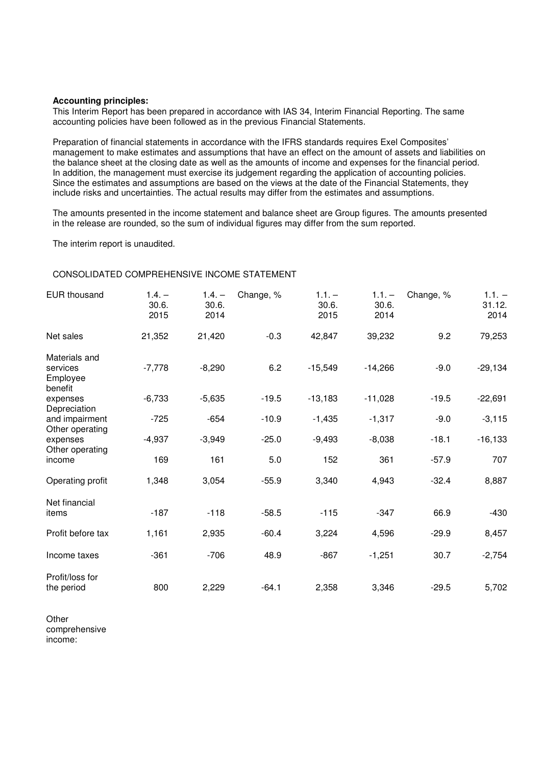#### **Accounting principles:**

This Interim Report has been prepared in accordance with IAS 34, Interim Financial Reporting. The same accounting policies have been followed as in the previous Financial Statements.

Preparation of financial statements in accordance with the IFRS standards requires Exel Composites' management to make estimates and assumptions that have an effect on the amount of assets and liabilities on the balance sheet at the closing date as well as the amounts of income and expenses for the financial period. In addition, the management must exercise its judgement regarding the application of accounting policies. Since the estimates and assumptions are based on the views at the date of the Financial Statements, they include risks and uncertainties. The actual results may differ from the estimates and assumptions.

The amounts presented in the income statement and balance sheet are Group figures. The amounts presented in the release are rounded, so the sum of individual figures may differ from the sum reported.

The interim report is unaudited.

## CONSOLIDATED COMPREHENSIVE INCOME STATEMENT

| <b>EUR thousand</b>                              | $1.4. -$<br>30.6.<br>2015 | $1.4. -$<br>30.6.<br>2014 | Change, % | $1.1. -$<br>30.6.<br>2015 | $1.1. -$<br>30.6.<br>2014 | Change, % | $1.1. -$<br>31.12.<br>2014 |
|--------------------------------------------------|---------------------------|---------------------------|-----------|---------------------------|---------------------------|-----------|----------------------------|
| Net sales                                        | 21,352                    | 21,420                    | $-0.3$    | 42,847                    | 39,232                    | 9.2       | 79,253                     |
| Materials and<br>services<br>Employee<br>benefit | $-7,778$                  | $-8,290$                  | 6.2       | $-15,549$                 | $-14,266$                 | $-9.0$    | $-29,134$                  |
| expenses                                         | $-6,733$                  | $-5,635$                  | $-19.5$   | $-13,183$                 | $-11,028$                 | $-19.5$   | $-22,691$                  |
| Depreciation<br>and impairment                   | $-725$                    | $-654$                    | $-10.9$   | $-1,435$                  | $-1,317$                  | $-9.0$    | $-3,115$                   |
| Other operating<br>expenses<br>Other operating   | $-4,937$                  | $-3,949$                  | $-25.0$   | $-9,493$                  | $-8,038$                  | $-18.1$   | $-16, 133$                 |
| income                                           | 169                       | 161                       | 5.0       | 152                       | 361                       | $-57.9$   | 707                        |
| Operating profit                                 | 1,348                     | 3,054                     | $-55.9$   | 3,340                     | 4,943                     | $-32.4$   | 8,887                      |
| Net financial<br>items                           | $-187$                    | $-118$                    | $-58.5$   | $-115$                    | $-347$                    | 66.9      | $-430$                     |
| Profit before tax                                | 1,161                     | 2,935                     | $-60.4$   | 3,224                     | 4,596                     | $-29.9$   | 8,457                      |
| Income taxes                                     | $-361$                    | $-706$                    | 48.9      | $-867$                    | $-1,251$                  | 30.7      | $-2,754$                   |
| Profit/loss for<br>the period                    | 800                       | 2,229                     | $-64.1$   | 2,358                     | 3,346                     | $-29.5$   | 5,702                      |

**Other** comprehensive income: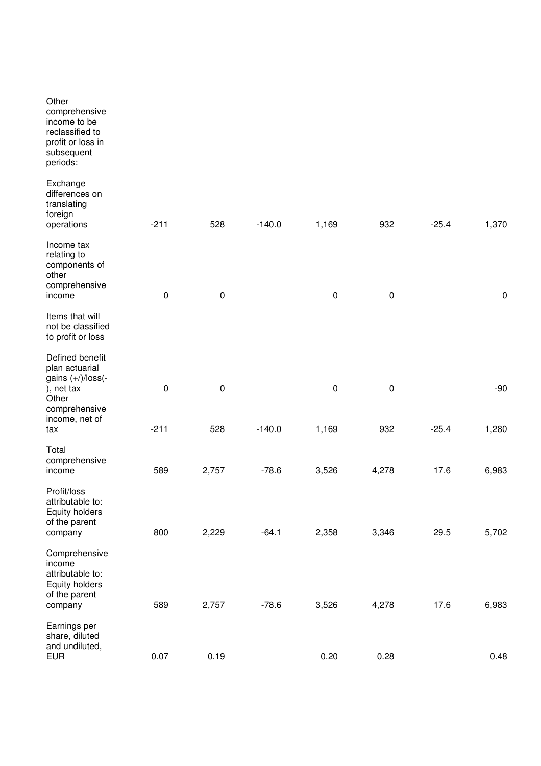| Other<br>comprehensive<br>income to be<br>reclassified to<br>profit or loss in<br>subsequent<br>periods: |           |           |          |           |           |         |           |
|----------------------------------------------------------------------------------------------------------|-----------|-----------|----------|-----------|-----------|---------|-----------|
| Exchange<br>differences on<br>translating<br>foreign<br>operations                                       | $-211$    | 528       | $-140.0$ | 1,169     | 932       | $-25.4$ | 1,370     |
| Income tax<br>relating to<br>components of<br>other<br>comprehensive<br>income                           | 0         | $\pmb{0}$ |          | $\pmb{0}$ | $\pmb{0}$ |         | $\pmb{0}$ |
| Items that will<br>not be classified<br>to profit or loss                                                |           |           |          |           |           |         |           |
| Defined benefit<br>plan actuarial<br>gains $(+)/$ loss $(-)$<br>), net tax<br>Other<br>comprehensive     | $\pmb{0}$ | $\pmb{0}$ |          | $\pmb{0}$ | $\pmb{0}$ |         | $-90$     |
| income, net of<br>tax                                                                                    | $-211$    | 528       | $-140.0$ | 1,169     | 932       | $-25.4$ | 1,280     |
| Total<br>comprehensive<br>income                                                                         | 589       | 2,757     | $-78.6$  | 3,526     | 4,278     | 17.6    | 6,983     |
| Profit/loss<br>attributable to:<br>Equity holders<br>of the parent<br>company                            | 800       | 2,229     | $-64.1$  | 2,358     | 3,346     | 29.5    | 5,702     |
| Comprehensive<br>income<br>attributable to:<br>Equity holders<br>of the parent<br>company                | 589       | 2,757     | $-78.6$  | 3,526     | 4,278     | 17.6    | 6,983     |
| Earnings per<br>share, diluted<br>and undiluted,<br><b>EUR</b>                                           | 0.07      | 0.19      |          | 0.20      | 0.28      |         | 0.48      |
|                                                                                                          |           |           |          |           |           |         |           |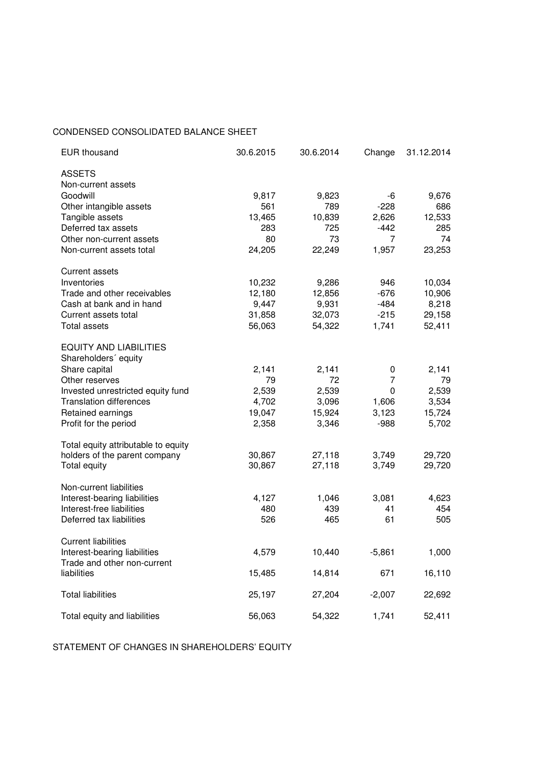## CONDENSED CONSOLIDATED BALANCE SHEET

| <b>EUR thousand</b>                                   | 30.6.2015 | 30.6.2014 | Change         | 31.12.2014 |
|-------------------------------------------------------|-----------|-----------|----------------|------------|
| <b>ASSETS</b><br>Non-current assets                   |           |           |                |            |
| Goodwill                                              | 9,817     | 9,823     | -6             | 9,676      |
| Other intangible assets                               | 561       | 789       | $-228$         | 686        |
| Tangible assets                                       | 13,465    | 10,839    | 2,626          | 12,533     |
| Deferred tax assets                                   | 283       | 725       | $-442$         | 285        |
| Other non-current assets                              | 80        | 73        | 7              | 74         |
| Non-current assets total                              | 24,205    | 22,249    | 1,957          | 23,253     |
| Current assets                                        |           |           |                |            |
| Inventories                                           | 10,232    | 9,286     | 946            | 10,034     |
| Trade and other receivables                           | 12,180    | 12,856    | $-676$         | 10,906     |
| Cash at bank and in hand                              | 9,447     | 9,931     | $-484$         | 8,218      |
| Current assets total                                  | 31,858    | 32,073    | $-215$         | 29,158     |
| <b>Total assets</b>                                   | 56,063    | 54,322    | 1,741          | 52,411     |
| <b>EQUITY AND LIABILITIES</b><br>Shareholders' equity |           |           |                |            |
| Share capital                                         | 2,141     | 2,141     | 0              | 2,141      |
| Other reserves                                        | 79        | 72        | $\overline{7}$ | 79         |
| Invested unrestricted equity fund                     | 2,539     | 2,539     | 0              | 2,539      |
| <b>Translation differences</b>                        | 4,702     | 3,096     | 1,606          | 3,534      |
| Retained earnings                                     | 19,047    | 15,924    | 3,123          | 15,724     |
| Profit for the period                                 | 2,358     | 3,346     | $-988$         | 5,702      |
| Total equity attributable to equity                   |           |           |                |            |
| holders of the parent company                         | 30,867    | 27,118    | 3,749          | 29,720     |
| Total equity                                          | 30,867    | 27,118    | 3,749          | 29,720     |
| Non-current liabilities                               |           |           |                |            |
| Interest-bearing liabilities                          | 4,127     | 1,046     | 3,081          | 4,623      |
| Interest-free liabilities                             | 480       | 439       | 41             | 454        |
| Deferred tax liabilities                              | 526       | 465       | 61             | 505        |
| <b>Current liabilities</b>                            |           |           |                |            |
| Interest-bearing liabilities                          | 4,579     | 10,440    | $-5,861$       | 1,000      |
| Trade and other non-current                           |           |           |                |            |
| liabilities                                           | 15,485    | 14,814    | 671            | 16,110     |
| <b>Total liabilities</b>                              | 25,197    | 27,204    | $-2,007$       | 22,692     |
| Total equity and liabilities                          | 56,063    | 54,322    | 1,741          | 52,411     |
|                                                       |           |           |                |            |

STATEMENT OF CHANGES IN SHAREHOLDERS' EQUITY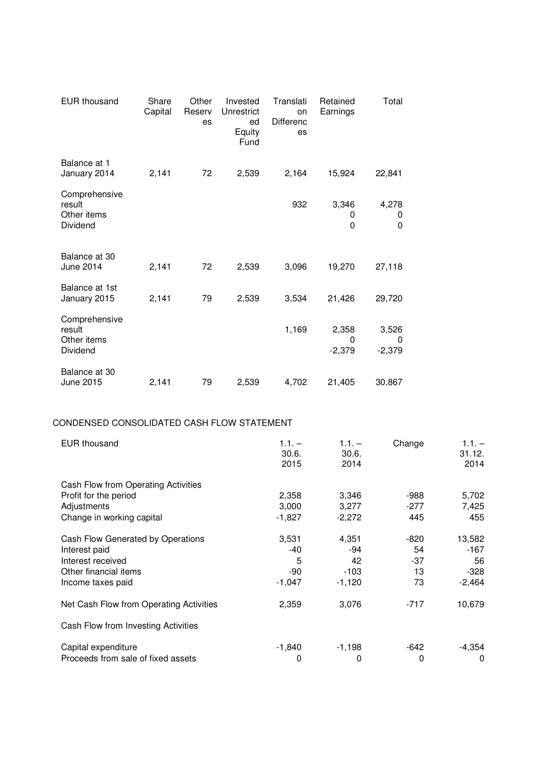| <b>EUR thousand</b>                                | Share<br>Capital | Other<br>Reserv<br>es | Invested<br>Unrestrict<br>ed<br>Equity<br>Fund | Translati<br>on<br><b>Differenc</b><br>es | Retained<br>Earnings   | Total                         |
|----------------------------------------------------|------------------|-----------------------|------------------------------------------------|-------------------------------------------|------------------------|-------------------------------|
| Balance at 1<br>January 2014                       | 2,141            | 72                    | 2,539                                          | 2,164                                     | 15,924                 | 22,841                        |
| Comprehensive<br>result<br>Other items<br>Dividend |                  |                       |                                                | 932                                       | 3,346<br>0<br>0        | 4,278<br>0<br>0               |
| Balance at 30<br>June 2014                         | 2,141            | 72                    | 2,539                                          | 3,096                                     | 19,270                 | 27,118                        |
| Balance at 1st<br>January 2015                     | 2,141            | 79                    | 2,539                                          | 3,534                                     | 21,426                 | 29,720                        |
| Comprehensive<br>result<br>Other items<br>Dividend |                  |                       |                                                | 1,169                                     | 2,358<br>0<br>$-2,379$ | 3,526<br>$\Omega$<br>$-2,379$ |
| Balance at 30<br>June 2015                         | 2,141            | 79                    | 2,539                                          | 4,702                                     | 21,405                 | 30,867                        |

## CONDENSED CONSOLIDATED CASH FLOW STATEMENT

| <b>EUR</b> thousand                                                                                                   | $1.1. -$<br>30.6.<br>2015            | $1.1. -$<br>30.6.<br>2014                | Change                        | $1.1. -$<br>31.12.<br>2014                 |
|-----------------------------------------------------------------------------------------------------------------------|--------------------------------------|------------------------------------------|-------------------------------|--------------------------------------------|
| Cash Flow from Operating Activities<br>Profit for the period<br>Adjustments<br>Change in working capital              | 2,358<br>3,000<br>$-1,827$           | 3,346<br>3,277<br>$-2,272$               | -988<br>-277<br>445           | 5,702<br>7,425<br>455                      |
| Cash Flow Generated by Operations<br>Interest paid<br>Interest received<br>Other financial items<br>Income taxes paid | 3,531<br>-40<br>5<br>-90<br>$-1,047$ | 4,351<br>-94<br>42<br>$-103$<br>$-1,120$ | -820<br>54<br>-37<br>13<br>73 | 13,582<br>-167<br>56<br>$-328$<br>$-2,464$ |
| Net Cash Flow from Operating Activities                                                                               | 2,359                                | 3,076                                    | $-717$                        | 10,679                                     |
| Cash Flow from Investing Activities                                                                                   |                                      |                                          |                               |                                            |
| Capital expenditure<br>Proceeds from sale of fixed assets                                                             | -1,840<br>0                          | $-1,198$<br>0                            | -642<br>0                     | $-4,354$<br>$\Omega$                       |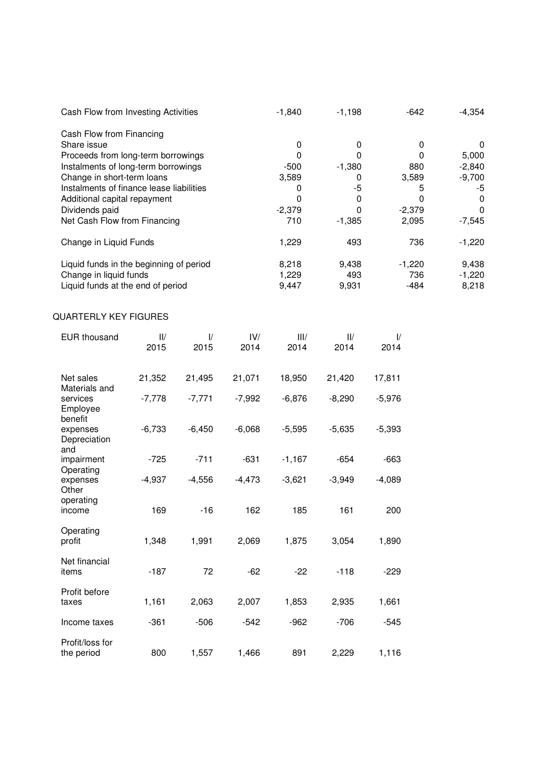| Cash Flow from Investing Activities      | $-1,840$ | $-1,198$ | $-642$   | $-4,354$ |
|------------------------------------------|----------|----------|----------|----------|
| Cash Flow from Financing                 |          |          |          |          |
| Share issue                              | 0        | 0        |          | 0        |
| Proceeds from long-term borrowings       | 0        | 0        | 0        | 5,000    |
| Instalments of long-term borrowings      | $-500$   | $-1,380$ | 880      | $-2,840$ |
| Change in short-term loans               | 3,589    | 0        | 3,589    | $-9,700$ |
| Instalments of finance lease liabilities |          | -5       | 5        | -5       |
| Additional capital repayment             |          | 0        |          | 0        |
| Dividends paid                           | $-2,379$ | 0        | $-2,379$ | 0        |
| Net Cash Flow from Financing             | 710      | $-1,385$ | 2,095    | $-7,545$ |
| Change in Liquid Funds                   | 1,229    | 493      | 736      | $-1,220$ |
| Liquid funds in the beginning of period  | 8,218    | 9,438    | $-1,220$ | 9,438    |
| Change in liquid funds                   | 1,229    | 493      | 736      | $-1,220$ |
| Liquid funds at the end of period        | 9.447    | 9,931    | $-484$   | 8,218    |

# QUARTERLY KEY FIGURES

| <b>EUR thousand</b>                         | $\mathsf{II}/\mathsf{I}$<br>2015 | $\mathcal{U}$<br>2015 | IV/<br>2014 | III/<br>2014 | $\mathsf{II}/\mathsf{I}$<br>2014 | $\frac{1}{2}$<br>2014 |
|---------------------------------------------|----------------------------------|-----------------------|-------------|--------------|----------------------------------|-----------------------|
| Net sales<br>Materials and                  | 21,352                           | 21,495                | 21,071      | 18,950       | 21,420                           | 17,811                |
| services<br>Employee<br>benefit             | $-7,778$                         | $-7,771$              | $-7,992$    | $-6,876$     | $-8,290$                         | $-5,976$              |
| expenses<br>Depreciation<br>and             | $-6,733$                         | $-6,450$              | $-6,068$    | $-5,595$     | $-5,635$                         | $-5,393$              |
| impairment                                  | $-725$                           | $-711$                | $-631$      | $-1,167$     | $-654$                           | $-663$                |
| Operating<br>expenses<br>Other<br>operating | $-4,937$                         | $-4,556$              | $-4,473$    | $-3,621$     | $-3,949$                         | $-4,089$              |
| income                                      | 169                              | $-16$                 | 162         | 185          | 161                              | 200                   |
| Operating<br>profit                         | 1,348                            | 1,991                 | 2,069       | 1,875        | 3,054                            | 1,890                 |
| Net financial<br>items                      | $-187$                           | 72                    | $-62$       | $-22$        | $-118$                           | $-229$                |
| Profit before<br>taxes                      | 1,161                            | 2,063                 | 2,007       | 1,853        | 2,935                            | 1,661                 |
| Income taxes                                | $-361$                           | $-506$                | $-542$      | $-962$       | $-706$                           | $-545$                |
| Profit/loss for<br>the period               | 800                              | 1,557                 | 1,466       | 891          | 2,229                            | 1,116                 |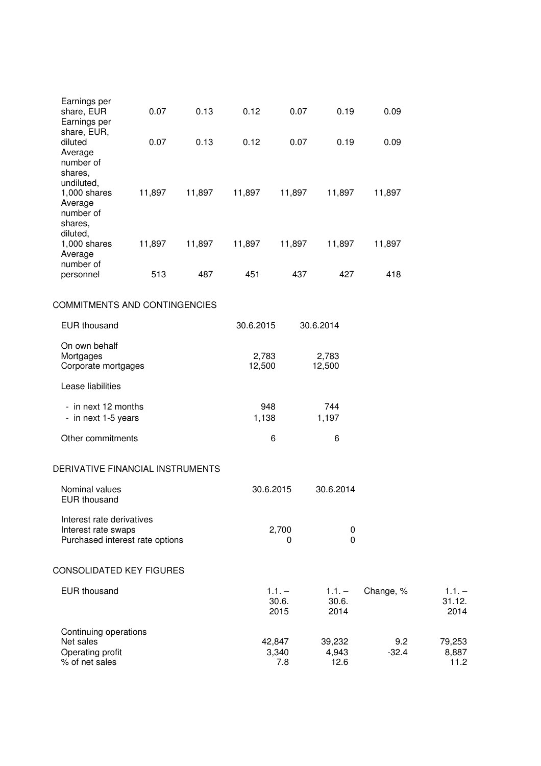| diluted<br>0.07<br>0.13<br>0.12<br>0.07<br>0.09<br>0.19<br>Average<br>number of<br>shares,<br>undiluted,<br>11,897<br>$1,000$ shares<br>11,897<br>11,897<br>11,897<br>11,897<br>11,897<br>Average<br>number of<br>shares,<br>diluted,<br>11,897<br>$1,000$ shares<br>11,897<br>11,897<br>11,897<br>11,897<br>11,897<br>Average<br>number of<br>513<br>487<br>451<br>437<br>427<br>418<br>personnel<br><b>COMMITMENTS AND CONTINGENCIES</b><br><b>EUR thousand</b><br>30.6.2015<br>30.6.2014<br>On own behalf<br>Mortgages<br>2,783<br>2,783<br>12,500<br>12,500<br>Corporate mortgages<br>Lease liabilities<br>- in next 12 months<br>948<br>744<br>1,197<br>- in next 1-5 years<br>1,138<br>Other commitments<br>6<br>6<br>DERIVATIVE FINANCIAL INSTRUMENTS<br>30.6.2015<br>30.6.2014<br>Nominal values<br><b>EUR thousand</b><br>Interest rate derivatives<br>2,700<br>Interest rate swaps<br>0<br>$\mathbf 0$<br>Purchased interest rate options<br>0<br>CONSOLIDATED KEY FIGURES<br><b>EUR thousand</b><br>$1.1. -$<br>Change, %<br>$1.1. -$<br>30.6.<br>30.6.<br>2015<br>2014<br>Continuing operations<br>42,847 | Earnings per<br>share, EUR<br>Earnings per | 0.07 | 0.13 | 0.12 | 0.07 | 0.19   | 0.09 |                            |
|-----------------------------------------------------------------------------------------------------------------------------------------------------------------------------------------------------------------------------------------------------------------------------------------------------------------------------------------------------------------------------------------------------------------------------------------------------------------------------------------------------------------------------------------------------------------------------------------------------------------------------------------------------------------------------------------------------------------------------------------------------------------------------------------------------------------------------------------------------------------------------------------------------------------------------------------------------------------------------------------------------------------------------------------------------------------------------------------------------------------------|--------------------------------------------|------|------|------|------|--------|------|----------------------------|
|                                                                                                                                                                                                                                                                                                                                                                                                                                                                                                                                                                                                                                                                                                                                                                                                                                                                                                                                                                                                                                                                                                                       | share, EUR,                                |      |      |      |      |        |      |                            |
|                                                                                                                                                                                                                                                                                                                                                                                                                                                                                                                                                                                                                                                                                                                                                                                                                                                                                                                                                                                                                                                                                                                       |                                            |      |      |      |      |        |      |                            |
|                                                                                                                                                                                                                                                                                                                                                                                                                                                                                                                                                                                                                                                                                                                                                                                                                                                                                                                                                                                                                                                                                                                       |                                            |      |      |      |      |        |      |                            |
|                                                                                                                                                                                                                                                                                                                                                                                                                                                                                                                                                                                                                                                                                                                                                                                                                                                                                                                                                                                                                                                                                                                       |                                            |      |      |      |      |        |      |                            |
|                                                                                                                                                                                                                                                                                                                                                                                                                                                                                                                                                                                                                                                                                                                                                                                                                                                                                                                                                                                                                                                                                                                       |                                            |      |      |      |      |        |      |                            |
|                                                                                                                                                                                                                                                                                                                                                                                                                                                                                                                                                                                                                                                                                                                                                                                                                                                                                                                                                                                                                                                                                                                       |                                            |      |      |      |      |        |      |                            |
|                                                                                                                                                                                                                                                                                                                                                                                                                                                                                                                                                                                                                                                                                                                                                                                                                                                                                                                                                                                                                                                                                                                       |                                            |      |      |      |      |        |      |                            |
|                                                                                                                                                                                                                                                                                                                                                                                                                                                                                                                                                                                                                                                                                                                                                                                                                                                                                                                                                                                                                                                                                                                       |                                            |      |      |      |      |        |      |                            |
|                                                                                                                                                                                                                                                                                                                                                                                                                                                                                                                                                                                                                                                                                                                                                                                                                                                                                                                                                                                                                                                                                                                       |                                            |      |      |      |      |        |      |                            |
|                                                                                                                                                                                                                                                                                                                                                                                                                                                                                                                                                                                                                                                                                                                                                                                                                                                                                                                                                                                                                                                                                                                       |                                            |      |      |      |      |        |      |                            |
|                                                                                                                                                                                                                                                                                                                                                                                                                                                                                                                                                                                                                                                                                                                                                                                                                                                                                                                                                                                                                                                                                                                       |                                            |      |      |      |      |        |      |                            |
|                                                                                                                                                                                                                                                                                                                                                                                                                                                                                                                                                                                                                                                                                                                                                                                                                                                                                                                                                                                                                                                                                                                       |                                            |      |      |      |      |        |      |                            |
|                                                                                                                                                                                                                                                                                                                                                                                                                                                                                                                                                                                                                                                                                                                                                                                                                                                                                                                                                                                                                                                                                                                       |                                            |      |      |      |      |        |      |                            |
|                                                                                                                                                                                                                                                                                                                                                                                                                                                                                                                                                                                                                                                                                                                                                                                                                                                                                                                                                                                                                                                                                                                       |                                            |      |      |      |      |        |      |                            |
|                                                                                                                                                                                                                                                                                                                                                                                                                                                                                                                                                                                                                                                                                                                                                                                                                                                                                                                                                                                                                                                                                                                       |                                            |      |      |      |      |        |      | $1.1. -$<br>31.12.<br>2014 |
| Operating profit<br>3,340<br>$-32.4$<br>4,943<br>% of net sales<br>7.8<br>12.6                                                                                                                                                                                                                                                                                                                                                                                                                                                                                                                                                                                                                                                                                                                                                                                                                                                                                                                                                                                                                                        | Net sales                                  |      |      |      |      | 39,232 | 9.2  | 79,253<br>8,887<br>11.2    |